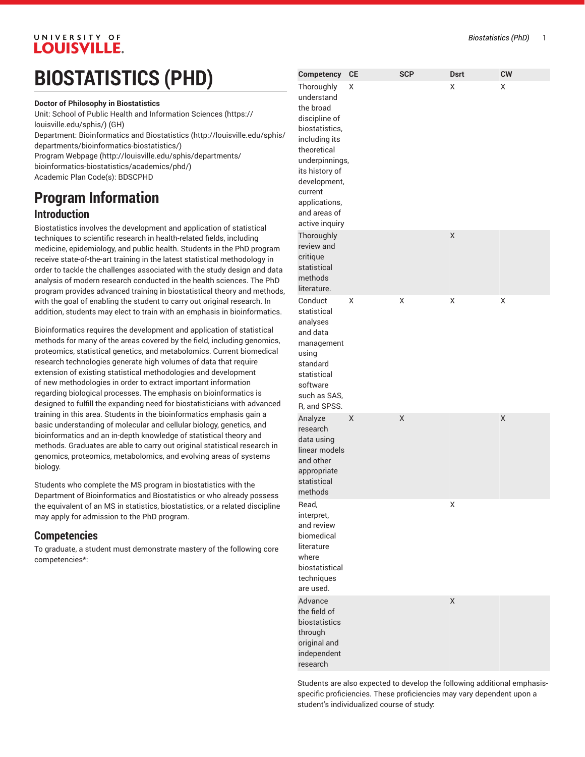# **BIOSTATISTICS (PHD)**

**Doctor of Philosophy in Biostatistics** 

Unit: [School of Public Health and Information Sciences](https://louisville.edu/sphis/) ([https://](https://louisville.edu/sphis/) [louisville.edu/sphis/](https://louisville.edu/sphis/)) (GH) Department: [Bioinformatics and Biostatistics](http://louisville.edu/sphis/departments/bioinformatics-biostatistics/) ([http://louisville.edu/sphis/](http://louisville.edu/sphis/departments/bioinformatics-biostatistics/) [departments/bioinformatics-biostatistics/\)](http://louisville.edu/sphis/departments/bioinformatics-biostatistics/) Program [Webpage](http://louisville.edu/sphis/departments/bioinformatics-biostatistics/academics/phd/) [\(http://louisville.edu/sphis/departments/](http://louisville.edu/sphis/departments/bioinformatics-biostatistics/academics/phd/) [bioinformatics-biostatistics/academics/phd/\)](http://louisville.edu/sphis/departments/bioinformatics-biostatistics/academics/phd/) Academic Plan Code(s): BDSCPHD

**Program Information**

### **Introduction**

Biostatistics involves the development and application of statistical techniques to scientific research in health-related fields, including medicine, epidemiology, and public health. Students in the PhD program receive state-of-the-art training in the latest statistical methodology in order to tackle the challenges associated with the study design and data analysis of modern research conducted in the health sciences. The PhD program provides advanced training in biostatistical theory and methods, with the goal of enabling the student to carry out original research. In addition, students may elect to train with an emphasis in bioinformatics.

Bioinformatics requires the development and application of statistical methods for many of the areas covered by the field, including genomics, proteomics, statistical genetics, and metabolomics. Current biomedical research technologies generate high volumes of data that require extension of existing statistical methodologies and development of new methodologies in order to extract important information regarding biological processes. The emphasis on bioinformatics is designed to fulfill the expanding need for biostatisticians with advanced training in this area. Students in the bioinformatics emphasis gain a basic understanding of molecular and cellular biology, genetics, and bioinformatics and an in-depth knowledge of statistical theory and methods. Graduates are able to carry out original statistical research in genomics, proteomics, metabolomics, and evolving areas of systems biology.

Students who complete the MS program in biostatistics with the Department of Bioinformatics and Biostatistics or who already possess the equivalent of an MS in statistics, biostatistics, or a related discipline may apply for admission to the PhD program.

### **Competencies**

To graduate, a student must demonstrate mastery of the following core competencies\*:

| Thoroughly<br>understand<br>the broad<br>discipline of<br>biostatistics,<br>including its<br>theoretical<br>underpinnings,<br>its history of<br>development,<br>current<br>applications,<br>and areas of<br>active inquiry | Χ |   | Χ | Χ |
|----------------------------------------------------------------------------------------------------------------------------------------------------------------------------------------------------------------------------|---|---|---|---|
| Thoroughly<br>review and<br>critique<br>statistical<br>methods<br>literature.                                                                                                                                              |   |   | X |   |
| Conduct<br>statistical<br>analyses<br>and data<br>management<br>using<br>standard<br>statistical<br>software<br>such as SAS,<br>R, and SPSS.                                                                               | Χ | X | X | Χ |
| Analyze<br>research<br>data using<br>linear models<br>and other<br>appropriate<br>statistical<br>methods                                                                                                                   | X | Χ |   | X |
| Read,<br>interpret,<br>and review<br>biomedical<br>literature<br>where<br>biostatistical<br>techniques<br>are used.                                                                                                        |   |   | Χ |   |
| Advance<br>the field of<br>biostatistics<br>through<br>original and<br>independent                                                                                                                                         |   |   | X |   |

**Competency CE SCP Dsrt CW**

Students are also expected to develop the following additional emphasisspecific proficiencies. These proficiencies may vary dependent upon a student's individualized course of study:

research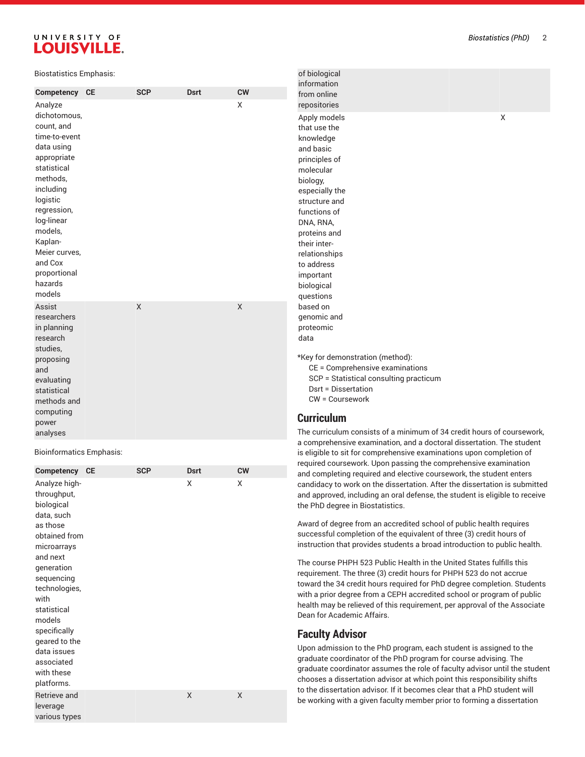| <b>Biostatistics Emphasis:</b>                                                                                                                                                                                              |            |             |           | of biological<br>information                                                                                                                                                                                                                      |  |
|-----------------------------------------------------------------------------------------------------------------------------------------------------------------------------------------------------------------------------|------------|-------------|-----------|---------------------------------------------------------------------------------------------------------------------------------------------------------------------------------------------------------------------------------------------------|--|
| Competency CE                                                                                                                                                                                                               | <b>SCP</b> | <b>Dsrt</b> | <b>CW</b> | from online                                                                                                                                                                                                                                       |  |
| Analyze                                                                                                                                                                                                                     |            |             | X         | repositories                                                                                                                                                                                                                                      |  |
| dichotomous,<br>count, and<br>time-to-event<br>data using<br>appropriate<br>statistical<br>methods,<br>including<br>logistic<br>regression,<br>log-linear<br>models,<br>Kaplan-<br>Meier curves,<br>and Cox<br>proportional |            |             |           | Apply models<br>X<br>that use the<br>knowledge<br>and basic<br>principles of<br>molecular<br>biology,<br>especially the<br>structure and<br>functions of<br>DNA, RNA,<br>proteins and<br>their inter-<br>relationships<br>to address<br>important |  |
| hazards                                                                                                                                                                                                                     |            |             |           | biological                                                                                                                                                                                                                                        |  |
| models                                                                                                                                                                                                                      |            |             |           | questions                                                                                                                                                                                                                                         |  |
| Assist<br>researchers<br>in planning<br>research<br>studies,<br>proposing<br>and<br>evaluating                                                                                                                              | X          |             | X         | based on<br>genomic and<br>proteomic<br>data<br>*Key for demonstration (method):<br>CE = Comprehensive examinations<br>SCP = Statistical consulting practicum<br>Dsrt = Dissertation                                                              |  |
| statistical<br>methods and                                                                                                                                                                                                  |            |             |           | CW = Coursework                                                                                                                                                                                                                                   |  |
| computing<br>power<br>analyses                                                                                                                                                                                              |            |             |           | <b>Curriculum</b><br>The curriculum consists of a minimum of 34 credit hours of coursework,                                                                                                                                                       |  |

#### Bioinformatics Emphasis:

| Competency                                                             | <b>CE</b> | <b>SCP</b> | <b>Dsrt</b> | <b>CW</b> |
|------------------------------------------------------------------------|-----------|------------|-------------|-----------|
| Analyze high-<br>throughput,<br>biological<br>data, such<br>as those   |           |            | X           | X         |
| obtained from<br>microarrays<br>and next                               |           |            |             |           |
| generation                                                             |           |            |             |           |
| sequencing                                                             |           |            |             |           |
| technologies,<br>with                                                  |           |            |             |           |
| statistical                                                            |           |            |             |           |
| models                                                                 |           |            |             |           |
| specifically                                                           |           |            |             |           |
| geared to the<br>data issues<br>associated<br>with these<br>platforms. |           |            |             |           |
| Retrieve and<br>leverage<br>various types                              |           |            | X           | X         |

a comprehensive examination, and a doctoral dissertation. The student , is eligible to sit for comprehensive examinations upon completion of required coursework. Upon passing the comprehensive examination and completing required and elective coursework, the student enters candidacy to work on the dissertation. After the dissertation is submitte d and approved, including an oral defense, the student is eligible to receive , the PhD degree in Biostatistics.

Award of degree from an accredited school of public health requires successful completion of the equivalent of three (3) credit hours of instruction that provides students a broad introduction to public he alt h.

The course PHPH 523 Public Health in the United States fulfills this requirement. The three (3) credit hours for PHPH 523 do not accrue toward the 34 credit hours required for PhD degree completion. Stud e n t s with a prior degree from a CEPH accredited school or program of public health may be relieved of this requirement, per approval of the Associate , Dean for Academic Affairs.

### **Faculty Advisor**

Upon admission to the PhD program, each student is assigned to the , graduate coordinator of the PhD program for course advising. The graduate coordinator assumes the role of faculty advisor until the student chooses a dissertation advisor at which point this responsibility shifts to the dissertation advisor. If it becomes clear that a PhD student will be working with a given faculty member prior to forming a dissertatio n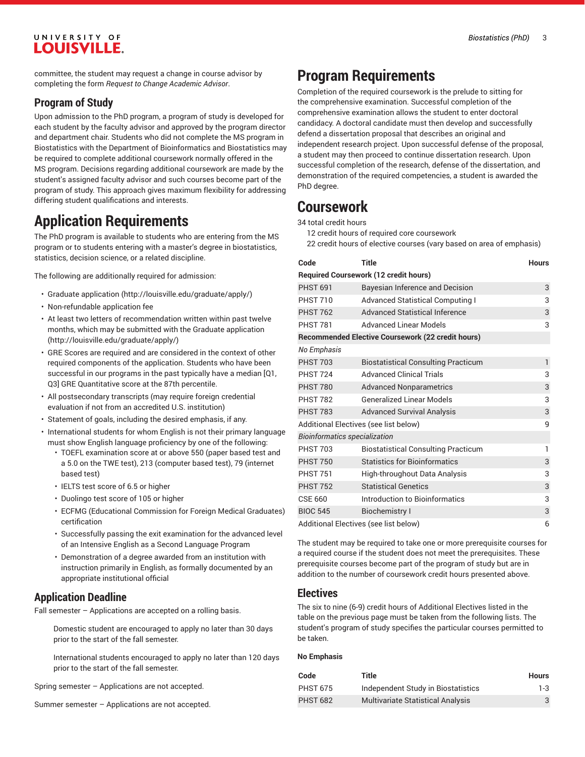committee, the student may request a change in course advisor by completing the form *Request to Change Academic Advisor*.

### **Program of Study**

Upon admission to the PhD program, a program of study is developed for each student by the faculty advisor and approved by the program director and department chair. Students who did not complete the MS program in Biostatistics with the Department of Bioinformatics and Biostatistics may be required to complete additional coursework normally offered in the MS program. Decisions regarding additional coursework are made by the student's assigned faculty advisor and such courses become part of the program of study. This approach gives maximum flexibility for addressing differing student qualifications and interests.

# **Application Requirements**

The PhD program is available to students who are entering from the MS program or to students entering with a master's degree in biostatistics, statistics, decision science, or a related discipline.

The following are additionally required for admission:

- [Graduate application](http://louisville.edu/graduate/apply/) (<http://louisville.edu/graduate/apply/>)
- Non-refundable application fee
- At least two letters of recommendation written within past twelve months, which may be submitted with the [Graduate application](http://louisville.edu/graduate/apply/) ([http://louisville.edu/graduate/apply/\)](http://louisville.edu/graduate/apply/)
- GRE Scores are required and are considered in the context of other required components of the application. Students who have been successful in our programs in the past typically have a median [Q1, Q3] GRE Quantitative score at the 87th percentile.
- All postsecondary transcripts (may require foreign credential evaluation if not from an accredited U.S. institution)
- Statement of goals, including the desired emphasis, if any.
- International students for whom English is not their primary language must show English language proficiency by one of the following:
	- TOEFL examination score at or above 550 (paper based test and a 5.0 on the TWE test), 213 (computer based test), 79 (internet based test)
	- IELTS test score of 6.5 or higher
	- Duolingo test score of 105 or higher
	- ECFMG (Educational Commission for Foreign Medical Graduates) certification
	- Successfully passing the exit examination for the advanced level of an Intensive English as a Second Language Program
	- Demonstration of a degree awarded from an institution with instruction primarily in English, as formally documented by an appropriate institutional official

### **Application Deadline**

Fall semester – Applications are accepted on a rolling basis.

Domestic student are encouraged to apply no later than 30 days prior to the start of the fall semester.

International students encouraged to apply no later than 120 days prior to the start of the fall semester.

Spring semester – Applications are not accepted.

Summer semester – Applications are not accepted.

# **Program Requirements**

Completion of the required coursework is the prelude to sitting for the comprehensive examination. Successful completion of the comprehensive examination allows the student to enter doctoral candidacy. A doctoral candidate must then develop and successfully defend a dissertation proposal that describes an original and independent research project. Upon successful defense of the proposal, a student may then proceed to continue dissertation research. Upon successful completion of the research, defense of the dissertation, and demonstration of the required competencies, a student is awarded the PhD degree.

# **Coursework**

34 total credit hours

12 credit hours of required core coursework

22 credit hours of elective courses (vary based on area of emphasis)

| Code                                 | <b>Title</b>                                             | <b>Hours</b> |
|--------------------------------------|----------------------------------------------------------|--------------|
|                                      | <b>Required Coursework (12 credit hours)</b>             |              |
| <b>PHST 691</b>                      | Bayesian Inference and Decision                          | 3            |
| <b>PHST 710</b>                      | <b>Advanced Statistical Computing I</b>                  | 3            |
| <b>PHST 762</b>                      | <b>Advanced Statistical Inference</b>                    | 3            |
| <b>PHST 781</b>                      | <b>Advanced Linear Models</b>                            | 3            |
|                                      | <b>Recommended Elective Coursework (22 credit hours)</b> |              |
| No Emphasis                          |                                                          |              |
| <b>PHST 703</b>                      | <b>Biostatistical Consulting Practicum</b>               | $\mathbf{1}$ |
| <b>PHST 724</b>                      | <b>Advanced Clinical Trials</b>                          | 3            |
| <b>PHST 780</b>                      | <b>Advanced Nonparametrics</b>                           | 3            |
| <b>PHST 782</b>                      | <b>Generalized Linear Models</b>                         | 3            |
| <b>PHST 783</b>                      | <b>Advanced Survival Analysis</b>                        | 3            |
|                                      | Additional Electives (see list below)                    | 9            |
| <b>Bioinformatics specialization</b> |                                                          |              |
| <b>PHST 703</b>                      | <b>Biostatistical Consulting Practicum</b>               | 1            |
| <b>PHST 750</b>                      | <b>Statistics for Bioinformatics</b>                     | 3            |
| <b>PHST 751</b>                      | High-throughout Data Analysis                            | 3            |
| <b>PHST 752</b>                      | <b>Statistical Genetics</b>                              | 3            |
| <b>CSE 660</b>                       | Introduction to Bioinformatics                           | 3            |
| <b>BIOC 545</b>                      | <b>Biochemistry I</b>                                    | 3            |
|                                      | Additional Electives (see list below)                    | 6            |

The student may be required to take one or more prerequisite courses for a required course if the student does not meet the prerequisites. These prerequisite courses become part of the program of study but are in addition to the number of coursework credit hours presented above.

### **Electives**

The six to nine (6-9) credit hours of Additional Electives listed in the table on the previous page must be taken from the following lists. The student's program of study specifies the particular courses permitted to be taken.

#### **No Emphasis**

| Code            | Title                                    | <b>Hours</b> |
|-----------------|------------------------------------------|--------------|
| <b>PHST 675</b> | Independent Study in Biostatistics       | 1-3          |
| <b>PHST 682</b> | <b>Multivariate Statistical Analysis</b> | 3            |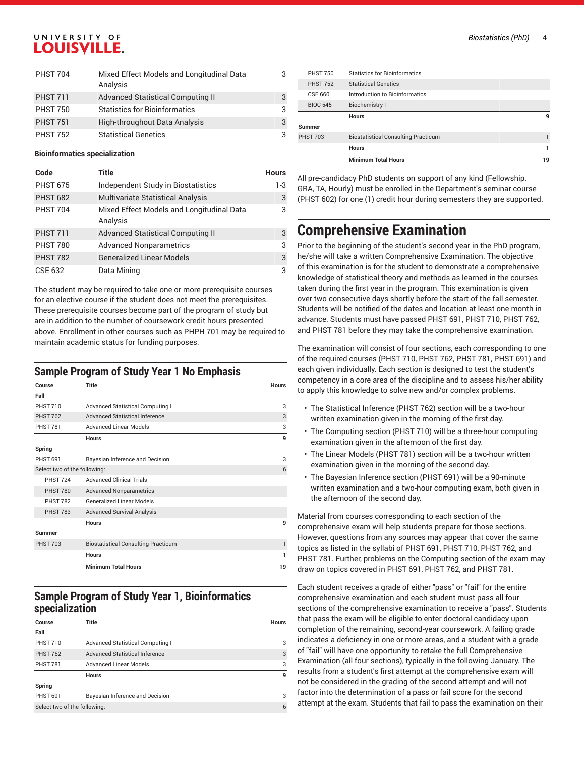| <b>PHST 704</b> | Mixed Effect Models and Longitudinal Data<br>Analysis | 3 |
|-----------------|-------------------------------------------------------|---|
| <b>PHST 711</b> | Advanced Statistical Computing II                     | 3 |
| <b>PHST 750</b> | <b>Statistics for Bioinformatics</b>                  | 3 |
| <b>PHST 751</b> | High-throughout Data Analysis                         | 3 |
| <b>PHST 752</b> | <b>Statistical Genetics</b>                           | 3 |

#### **Bioinformatics specialization**

| Code            | Title                                                 | <b>Hours</b> |
|-----------------|-------------------------------------------------------|--------------|
| <b>PHST 675</b> | Independent Study in Biostatistics                    | $1-3$        |
| <b>PHST 682</b> | <b>Multivariate Statistical Analysis</b>              | 3            |
| <b>PHST 704</b> | Mixed Effect Models and Longitudinal Data<br>Analysis | 3            |
| <b>PHST 711</b> | <b>Advanced Statistical Computing II</b>              | 3            |
| <b>PHST 780</b> | <b>Advanced Nonparametrics</b>                        | 3            |
| <b>PHST 782</b> | <b>Generalized Linear Models</b>                      | 3            |
| CSE 632         | Data Mining                                           | 3            |

The student may be required to take one or more prerequisite courses for an elective course if the student does not meet the prerequisites. These prerequisite courses become part of the program of study but are in addition to the number of coursework credit hours presented above. Enrollment in other courses such as PHPH 701 may be required to maintain academic status for funding purposes.

### **Sample Program of Study Year 1 No Emphasis**

| Course                       | <b>Title</b>                               | <b>Hours</b> |
|------------------------------|--------------------------------------------|--------------|
| Fall                         |                                            |              |
| <b>PHST 710</b>              | <b>Advanced Statistical Computing I</b>    | 3            |
| <b>PHST 762</b>              | <b>Advanced Statistical Inference</b>      | 3            |
| <b>PHST 781</b>              | <b>Advanced Linear Models</b>              | 3            |
|                              | <b>Hours</b>                               | 9            |
| Spring                       |                                            |              |
| <b>PHST 691</b>              | Bayesian Inference and Decision            | 3            |
| Select two of the following: |                                            | 6            |
| <b>PHST 724</b>              | <b>Advanced Clinical Trials</b>            |              |
| <b>PHST 780</b>              | <b>Advanced Nonparametrics</b>             |              |
| <b>PHST 782</b>              | <b>Generalized Linear Models</b>           |              |
| <b>PHST 783</b>              | <b>Advanced Survival Analysis</b>          |              |
|                              | <b>Hours</b>                               | 9            |
| <b>Summer</b>                |                                            |              |
| <b>PHST 703</b>              | <b>Biostatistical Consulting Practicum</b> | 1            |
|                              | <b>Hours</b>                               | 1            |
|                              | <b>Minimum Total Hours</b>                 | 19           |

### **Sample Program of Study Year 1, Bioinformatics specialization**

| Course                       | Title                            | <b>Hours</b> |
|------------------------------|----------------------------------|--------------|
| Fall                         |                                  |              |
| <b>PHST 710</b>              | Advanced Statistical Computing I | 3            |
| <b>PHST 762</b>              | Advanced Statistical Inference   | 3            |
| <b>PHST 781</b>              | <b>Advanced Linear Models</b>    | 3            |
|                              | <b>Hours</b>                     | 9            |
| Spring                       |                                  |              |
| <b>PHST 691</b>              | Bayesian Inference and Decision  | 3            |
| Select two of the following: |                                  | 6            |
|                              |                                  |              |

|                 | <b>Minimum Total Hours</b>                 | 19 |
|-----------------|--------------------------------------------|----|
|                 | <b>Hours</b>                               |    |
|                 | <b>Biostatistical Consulting Practicum</b> |    |
|                 |                                            |    |
|                 | <b>Hours</b>                               | 9  |
| <b>BIOC 545</b> | Biochemistry I                             |    |
| CSE 660         | Introduction to Bioinformatics             |    |
| <b>PHST 752</b> | <b>Statistical Genetics</b>                |    |
| <b>PHST 750</b> | Statistics for Bioinformatics              |    |
|                 | Summer<br><b>PHST 703</b>                  |    |

All pre-candidacy PhD students on support of any kind (Fellowship, GRA, TA, Hourly) must be enrolled in the Department's seminar course (PHST 602) for one (1) credit hour during semesters they are supported.

# **Comprehensive Examination**

Prior to the beginning of the student's second year in the PhD program, he/she will take a written Comprehensive Examination. The objective of this examination is for the student to demonstrate a comprehensive knowledge of statistical theory and methods as learned in the courses taken during the first year in the program. This examination is given over two consecutive days shortly before the start of the fall semester. Students will be notified of the dates and location at least one month in advance. Students must have passed PHST 691, PHST 710, PHST 762, and PHST 781 before they may take the comprehensive examination.

The examination will consist of four sections, each corresponding to one of the required courses (PHST 710, PHST 762, PHST 781, PHST 691) and each given individually. Each section is designed to test the student's competency in a core area of the discipline and to assess his/her ability to apply this knowledge to solve new and/or complex problems.

- The Statistical Inference (PHST 762) section will be a two-hour written examination given in the morning of the first day.
- The Computing section (PHST 710) will be a three-hour computing examination given in the afternoon of the first day.
- The Linear Models (PHST 781) section will be a two-hour written examination given in the morning of the second day.
- The Bayesian Inference section (PHST 691) will be a 90-minute written examination and a two-hour computing exam, both given in the afternoon of the second day.

Material from courses corresponding to each section of the comprehensive exam will help students prepare for those sections. However, questions from any sources may appear that cover the same topics as listed in the syllabi of PHST 691, PHST 710, PHST 762, and PHST 781. Further, problems on the Computing section of the exam may draw on topics covered in PHST 691, PHST 762, and PHST 781.

Each student receives a grade of either "pass" or "fail" for the entire comprehensive examination and each student must pass all four sections of the comprehensive examination to receive a "pass". Students that pass the exam will be eligible to enter doctoral candidacy upon completion of the remaining, second-year coursework. A failing grade indicates a deficiency in one or more areas, and a student with a grade of "fail" will have one opportunity to retake the full Comprehensive Examination (all four sections), typically in the following January. The results from a student's first attempt at the comprehensive exam will not be considered in the grading of the second attempt and will not factor into the determination of a pass or fail score for the second attempt at the exam. Students that fail to pass the examination on their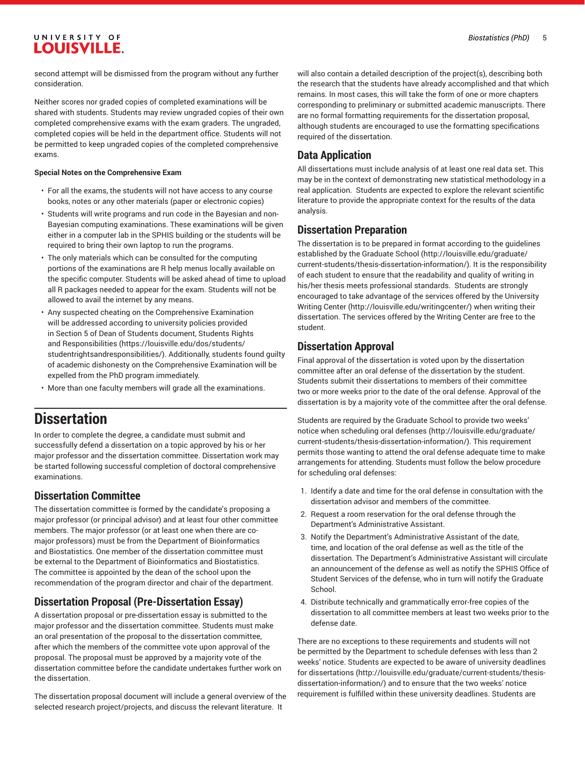second attempt will be dismissed from the program without any further consideration.

Neither scores nor graded copies of completed examinations will be shared with students. Students may review ungraded copies of their own completed comprehensive exams with the exam graders. The ungraded, completed copies will be held in the department office. Students will not be permitted to keep ungraded copies of the completed comprehensive exams.

#### **Special Notes on the Comprehensive Exam**

- For all the exams, the students will not have access to any course books, notes or any other materials (paper or electronic copies)
- Students will write programs and run code in the Bayesian and non-Bayesian computing examinations. These examinations will be given either in a computer lab in the SPHIS building or the students will be required to bring their own laptop to run the programs.
- The only materials which can be consulted for the computing portions of the examinations are R help menus locally available on the specific computer. Students will be asked ahead of time to upload all R packages needed to appear for the exam. Students will not be allowed to avail the internet by any means.
- Any suspected cheating on the Comprehensive Examination will be addressed according to university policies provided in Section 5 of Dean of Students document, [Students Rights](https://louisville.edu/dos/students/studentrightsandresponsibilities/) [and Responsibilities \(https://louisville.edu/dos/students/](https://louisville.edu/dos/students/studentrightsandresponsibilities/) [studentrightsandresponsibilities/\)](https://louisville.edu/dos/students/studentrightsandresponsibilities/). Additionally, students found guilty of academic dishonesty on the Comprehensive Examination will be expelled from the PhD program immediately.
- More than one faculty members will grade all the examinations.

# **Dissertation**

In order to complete the degree, a candidate must submit and successfully defend a dissertation on a topic approved by his or her major professor and the dissertation committee. Dissertation work may be started following successful completion of doctoral comprehensive examinations.

### **Dissertation Committee**

The dissertation committee is formed by the candidate's proposing a major professor (or principal advisor) and at least four other committee members. The major professor (or at least one when there are comajor professors) must be from the Department of Bioinformatics and Biostatistics. One member of the dissertation committee must be external to the Department of Bioinformatics and Biostatistics. The committee is appointed by the dean of the school upon the recommendation of the program director and chair of the department.

### **Dissertation Proposal (Pre-Dissertation Essay)**

A dissertation proposal or pre-dissertation essay is submitted to the major professor and the dissertation committee. Students must make an oral presentation of the proposal to the dissertation committee, after which the members of the committee vote upon approval of the proposal. The proposal must be approved by a majority vote of the dissertation committee before the candidate undertakes further work on the dissertation.

The dissertation proposal document will include a general overview of the selected research project/projects, and discuss the relevant literature. It

will also contain a detailed description of the project(s), describing both the research that the students have already accomplished and that which remains. In most cases, this will take the form of one or more chapters corresponding to preliminary or submitted academic manuscripts. There are no formal formatting requirements for the dissertation proposal, although students are encouraged to use the formatting specifications required of the dissertation.

### **Data Application**

All dissertations must include analysis of at least one real data set. This may be in the context of demonstrating new statistical methodology in a real application. Students are expected to explore the relevant scientific literature to provide the appropriate context for the results of the data analysis.

### **Dissertation Preparation**

The dissertation is to be prepared in format according to the [guidelines](http://louisville.edu/graduate/current-students/thesis-dissertation-information/) [established](http://louisville.edu/graduate/current-students/thesis-dissertation-information/) by the Graduate School ([http://louisville.edu/graduate/](http://louisville.edu/graduate/current-students/thesis-dissertation-information/) [current-students/thesis-dissertation-information/\)](http://louisville.edu/graduate/current-students/thesis-dissertation-information/). It is the responsibility of each student to ensure that the readability and quality of writing in his/her thesis meets professional standards. Students are strongly encouraged to take advantage of the services offered by the [University](http://louisville.edu/writingcenter/) [Writing](http://louisville.edu/writingcenter/) Center [\(http://louisville.edu/writingcenter/](http://louisville.edu/writingcenter/)) when writing their dissertation. The services offered by the Writing Center are free to the student.

### **Dissertation Approval**

Final approval of the dissertation is voted upon by the dissertation committee after an oral defense of the dissertation by the student. Students submit their dissertations to members of their committee two or more weeks prior to the date of the oral defense. Approval of the dissertation is by a majority vote of the committee after the oral defense.

Students are required by the Graduate School to provide two weeks' notice when [scheduling](http://louisville.edu/graduate/current-students/thesis-dissertation-information/) oral defenses [\(http://louisville.edu/graduate/](http://louisville.edu/graduate/current-students/thesis-dissertation-information/) [current-students/thesis-dissertation-information/\)](http://louisville.edu/graduate/current-students/thesis-dissertation-information/). This requirement permits those wanting to attend the oral defense adequate time to make arrangements for attending. Students must follow the below procedure for scheduling oral defenses:

- 1. Identify a date and time for the oral defense in consultation with the dissertation advisor and members of the committee.
- 2. Request a room reservation for the oral defense through the Department's Administrative Assistant.
- 3. Notify the Department's Administrative Assistant of the date, time, and location of the oral defense as well as the title of the dissertation. The Department's Administrative Assistant will circulate an announcement of the defense as well as notify the SPHIS Office of Student Services of the defense, who in turn will notify the Graduate School.
- 4. Distribute technically and grammatically error-free copies of the dissertation to all committee members at least two weeks prior to the defense date.

There are no exceptions to these requirements and students will not be permitted by the Department to schedule defenses with less than 2 weeks' notice. Students are expected to be aware of [university](http://louisville.edu/graduate/current-students/thesis-dissertation-information/) deadlines for [dissertations \(http://louisville.edu/graduate/current-students/thesis](http://louisville.edu/graduate/current-students/thesis-dissertation-information/)[dissertation-information/\)](http://louisville.edu/graduate/current-students/thesis-dissertation-information/) and to ensure that the two weeks' notice requirement is fulfilled within these university deadlines. Students are